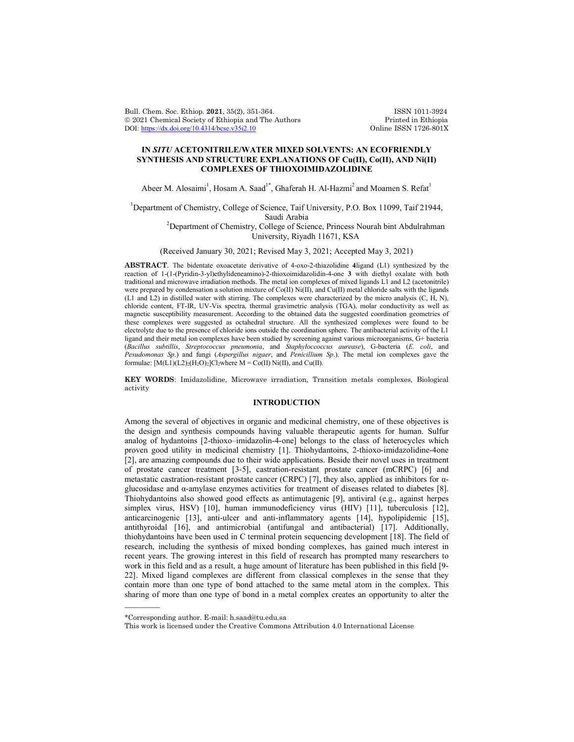Bull. Chem. Soc. Ethiop. 2021, 35(2), 351-364. ISSN 1011-3924<br>
© 2021 Chemical Society of Ethiopia and The Authors Printed in Ethiopia © 2021 Chemical Society of Ethiopia and The Authors Printed in Ethiopia DOI: https://dx.doi.org/10.4314/bcse.v35i2.10 Online ISSN 1726-801X DOI: https://dx.doi.org/10.4314/bcse.v35i2.10

# **IN** *SITU* **ACETONITRILE/WATER MIXED SOLVENTS: AN ECOFRIENDLY SYNTHESIS AND STRUCTURE EXPLANATIONS OF Cu(II), Co(II), AND Ni(II) COMPLEXES OF THIOXOIMIDAZOLIDINE**

Abeer M. Alosaimi<sup>1</sup>, Hosam A. Saad<sup>1\*</sup>, Ghaferah H. Al-Hazmi<sup>2</sup> and Moamen S. Refat<sup>1</sup>

<sup>1</sup>Department of Chemistry, College of Science, Taif University, P.O. Box 11099, Taif 21944, Saudi Arabia<br><sup>2</sup>Department of Chemistry, College of Science, Princess Nourah bint Abdulrahman

University, Riyadh 11671, KSA

(Received January 30, 2021; Revised May 3, 2021; Accepted May 3, 2021)

**ABSTRACT**. The bidentate oxoacetate derivative of 4-oxo-2-thiazolidine **4**ligand (L1) synthesized by the reaction of 1-(1-(Pyridin-3-yl)ethylideneamino)-2-thioxoimidazolidin-4-one **3** with diethyl oxalate with both traditional and microwave irradiation methods. The metal ion complexes of mixed ligands L1 and L2 (acetonitrile) were prepared by condensation a solution mixture of  $Co(II)$  Ni(II), and Cu(II) metal chloride salts with the ligands (L1 and L2) in distilled water with stirring. The complexes were characterized by the micro analysis (C, H, N), chloride content, FT-IR, UV-Vis spectra, thermal gravimetric analysis (TGA), molar conductivity as well as magnetic susceptibility measurement. According to the obtained data the suggested coordination geometries of these complexes were suggested as octahedral structure. All the synthesized complexes were found to be electrolyte due to the presence of chloride ions outside the coordination sphere. The antibacterial activity of the L1 ligand and their metal ion complexes have been studied by screening against various microorganisms, G+ bacteria (*Bacillus subtillis*, *Streptococcus pneumonia*, and *Staphyloccoccus aurease*), G-bacteria (*E. coli*, and *Pesudomonas Sp*.) and fungi (*Aspergillus nigaer*, and *Penicillium Sp*.). The metal ion complexes gave the formulae:  $[M(L1)(L2)_2(H_2O)_2]Cl_2$ where  $M = Co(II) Ni(II)$ , and Cu(II).

**KEY WORDS**: Imidazolidine, Microwave irradiation, Transition metals complexes, Biological activity

# **INTRODUCTION**

Among the several of objectives in organic and medicinal chemistry, one of these objectives is the design and synthesis compounds having valuable therapeutic agents for human. Sulfur analog of hydantoins [2-thioxo–imidazolin-4-one] belongs to the class of heterocycles which proven good utility in medicinal chemistry [1]. Thiohydantoins, 2-thioxo-imidazolidine-4one [2], are amazing compounds due to their wide applications. Beside their novel uses in treatment of prostate cancer treatment [3-5], castration-resistant prostate cancer (mCRPC) [6] and metastatic castration-resistant prostate cancer (CRPC) [7], they also, applied as inhibitors for αglucosidase and α-amylase enzymes activities for treatment of diseases related to diabetes [8]. Thiohydantoins also showed good effects as antimutagenic [9], antiviral (e.g., against herpes simplex virus, HSV) [10], human immunodeficiency virus (HIV) [11], tuberculosis [12], anticarcinogenic [13], anti-ulcer and anti-inflammatory agents [14], hypolipidemic [15], antithyroidal [16], and antimicrobial (antifungal and antibacterial) [17]. Additionally, thiohydantoins have been used in C terminal protein sequencing development [18]. The field of research, including the synthesis of mixed bonding complexes, has gained much interest in recent years. The growing interest in this field of research has prompted many researchers to work in this field and as a result, a huge amount of literature has been published in this field [9- 22]. Mixed ligand complexes are different from classical complexes in the sense that they contain more than one type of bond attached to the same metal atom in the complex. This sharing of more than one type of bond in a metal complex creates an opportunity to alter the

 $\overline{\phantom{a}}$ 

<sup>\*</sup>Corresponding author. E-mail: h.saad@tu.edu.sa

This work is licensed under the Creative Commons Attribution 4.0 International License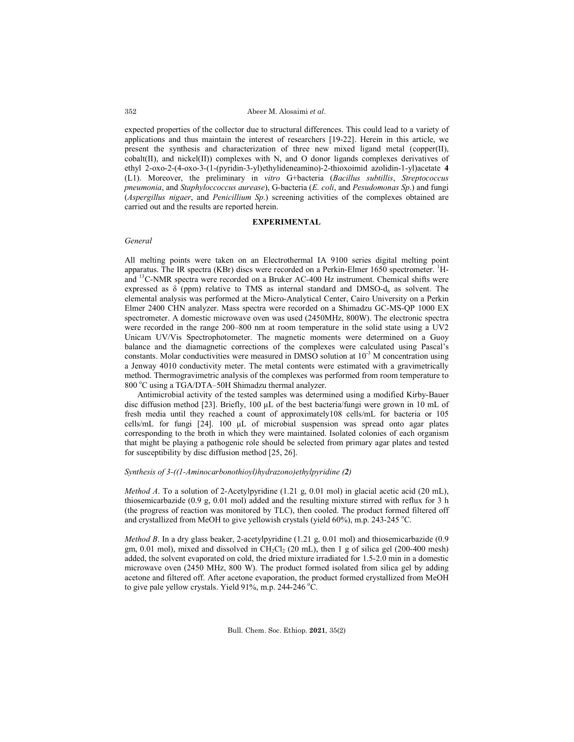expected properties of the collector due to structural differences. This could lead to a variety of applications and thus maintain the interest of researchers [19-22]. Herein in this article, we present the synthesis and characterization of three new mixed ligand metal (copper(II), cobalt(II), and nickel(II)) complexes with N, and O donor ligands complexes derivatives of ethyl 2-oxo-2-(4-oxo-3-(1-(pyridin-3-yl)ethylideneamino)-2-thioxoimid azolidin-1-yl)acetate **4** (L1). Moreover, the preliminary in *vitro* G+bacteria (*Bacillus subtillis*, *Streptococcus pneumonia*, and *Staphyloccoccus aurease*), G-bacteria (*E. coli*, and *Pesudomonas Sp*.) and fungi (*Aspergillus nigaer*, and *Penicillium Sp*.) screening activities of the complexes obtained are carried out and the results are reported herein.

### **EXPERIMENTAL**

# *General*

All melting points were taken on an Electrothermal IA 9100 series digital melting point apparatus. The IR spectra (KBr) discs were recorded on a Perkin-Elmer 1650 spectrometer. <sup>1</sup>Hand 13C-NMR spectra were recorded on a Bruker AC-400 Hz instrument. Chemical shifts were expressed as  $\delta$  (ppm) relative to TMS as internal standard and DMSO- $d_6$  as solvent. The elemental analysis was performed at the Micro-Analytical Center, Cairo University on a Perkin Elmer 2400 CHN analyzer. Mass spectra were recorded on a Shimadzu GC-MS-QP 1000 EX spectrometer. A domestic microwave oven was used (2450MHz, 800W). The electronic spectra were recorded in the range 200–800 nm at room temperature in the solid state using a UV2 Unicam UV/Vis Spectrophotometer. The magnetic moments were determined on a Guoy balance and the diamagnetic corrections of the complexes were calculated using Pascal's constants. Molar conductivities were measured in DMSO solution at  $10^{-3}$  M concentration using a Jenway 4010 conductivity meter. The metal contents were estimated with a gravimetrically method. Thermogravimetric analysis of the complexes was performed from room temperature to 800 °C using a TGA/DTA-50H Shimadzu thermal analyzer.

Antimicrobial activity of the tested samples was determined using a modified Kirby-Bauer disc diffusion method [23]. Briefly, 100 μL of the best bacteria/fungi were grown in 10 mL of fresh media until they reached a count of approximately108 cells/mL for bacteria or 105 cells/mL for fungi [24]. 100 μL of microbial suspension was spread onto agar plates corresponding to the broth in which they were maintained. Isolated colonies of each organism that might be playing a pathogenic role should be selected from primary agar plates and tested for susceptibility by disc diffusion method [25, 26].

#### *Synthesis of 3-((1-Aminocarbonothioyl)hydrazono)ethylpyridine (2)*

*Method A*. To a solution of 2-Acetylpyridine (1.21 g, 0.01 mol) in glacial acetic acid (20 mL), thiosemicarbazide (0.9 g, 0.01 mol) added and the resulting mixture stirred with reflux for 3 h (the progress of reaction was monitored by TLC), then cooled. The product formed filtered off and crystallized from MeOH to give yellowish crystals (yield 60%), m.p. 243-245 °C.

*Method B*. In a dry glass beaker, 2-acetylpyridine (1.21 g, 0.01 mol) and thiosemicarbazide (0.9 gm, 0.01 mol), mixed and dissolved in CH<sub>2</sub>Cl<sub>2</sub> (20 mL), then 1 g of silica gel (200-400 mesh) added, the solvent evaporated on cold, the dried mixture irradiated for 1.5-2.0 min in a domestic microwave oven (2450 MHz, 800 W). The product formed isolated from silica gel by adding acetone and filtered off. After acetone evaporation, the product formed crystallized from MeOH to give pale yellow crystals. Yield 91%, m.p. 244-246  $^{\circ}$ C.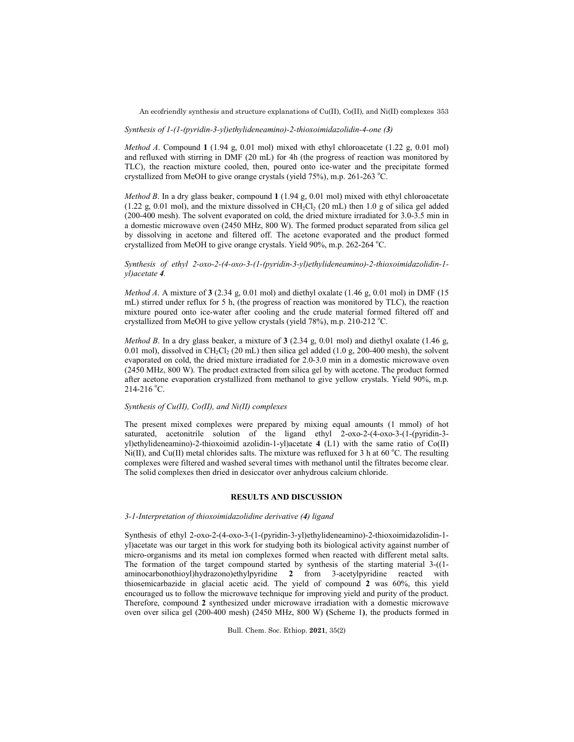An ecofriendly synthesis and structure explanations of Cu(II), Co(II), and Ni(II) complexes 353

#### *Synthesis of 1-(1-(pyridin-3-yl)ethylideneamino)-2-thioxoimidazolidin-4-one (3)*

*Method A*. Compound **1** (1.94 g, 0.01 mol) mixed with ethyl chloroacetate (1.22 g, 0.01 mol) and refluxed with stirring in DMF (20 mL) for 4h (the progress of reaction was monitored by TLC), the reaction mixture cooled, then, poured onto ice-water and the precipitate formed crystallized from MeOH to give orange crystals (yield 75%), m.p. 261-263 °C.

*Method B*. In a dry glass beaker, compound **1** (1.94 g, 0.01 mol) mixed with ethyl chloroacetate (1.22 g, 0.01 mol), and the mixture dissolved in  $CH_2Cl_2$  (20 mL) then 1.0 g of silica gel added (200-400 mesh). The solvent evaporated on cold, the dried mixture irradiated for 3.0-3.5 min in a domestic microwave oven (2450 MHz, 800 W). The formed product separated from silica gel by dissolving in acetone and filtered off. The acetone evaporated and the product formed crystallized from MeOH to give orange crystals. Yield 90%, m.p. 262-264 °C.

## *Synthesis of ethyl 2-oxo-2-(4-oxo-3-(1-(pyridin-3-yl)ethylideneamino)-2-thioxoimidazolidin-1 yl)acetate 4.*

*Method A*. A mixture of **3** (2.34 g, 0.01 mol) and diethyl oxalate (1.46 g, 0.01 mol) in DMF (15 mL) stirred under reflux for 5 h, (the progress of reaction was monitored by TLC), the reaction mixture poured onto ice-water after cooling and the crude material formed filtered off and crystallized from MeOH to give yellow crystals (yield 78%), m.p. 210-212 °C.

*Method B*. In a dry glass beaker, a mixture of **3** (2.34 g, 0.01 mol) and diethyl oxalate (1.46 g, 0.01 mol), dissolved in  $CH_2Cl_2$  (20 mL) then silica gel added (1.0 g, 200-400 mesh), the solvent evaporated on cold, the dried mixture irradiated for 2.0-3.0 min in a domestic microwave oven (2450 MHz, 800 W). The product extracted from silica gel by with acetone. The product formed after acetone evaporation crystallized from methanol to give yellow crystals. Yield 90%, m.p.  $214 - 216$  °C.

# *Synthesis of Cu(II), Co(II), and Ni(II) complexes*

The present mixed complexes were prepared by mixing equal amounts (1 mmol) of hot saturated, acetonitrile solution of the ligand ethyl 2-oxo-2-(4-oxo-3-(1-(pyridin-3 yl)ethylideneamino)-2-thioxoimid azolidin-1-yl)acetate **4** (L1) with the same ratio of Co(II)  $Ni(II)$ , and Cu(II) metal chlorides salts. The mixture was refluxed for 3 h at 60 °C. The resulting complexes were filtered and washed several times with methanol until the filtrates become clear. The solid complexes then dried in desiccator over anhydrous calcium chloride.

### **RESULTS AND DISCUSSION**

### *3-1-Interpretation of thioxoimidazolidine derivative (4) ligand*

Synthesis of ethyl 2-oxo-2-(4-oxo-3-(1-(pyridin-3-yl)ethylideneamino)-2-thioxoimidazolidin-1 yl)acetate was our target in this work for studying both its biological activity against number of micro-organisms and its metal ion complexes formed when reacted with different metal salts. The formation of the target compound started by synthesis of the starting material 3-((1 aminocarbonothioyl)hydrazono)ethylpyridine **2** from 3-acetylpyridine reacted with thiosemicarbazide in glacial acetic acid. The yield of compound **2** was 60%, this yield encouraged us to follow the microwave technique for improving yield and purity of the product. Therefore, compound **2** synthesized under microwave irradiation with a domestic microwave oven over silica gel (200-400 mesh) (2450 MHz, 800 W) **(**Scheme 1**)**, the products formed in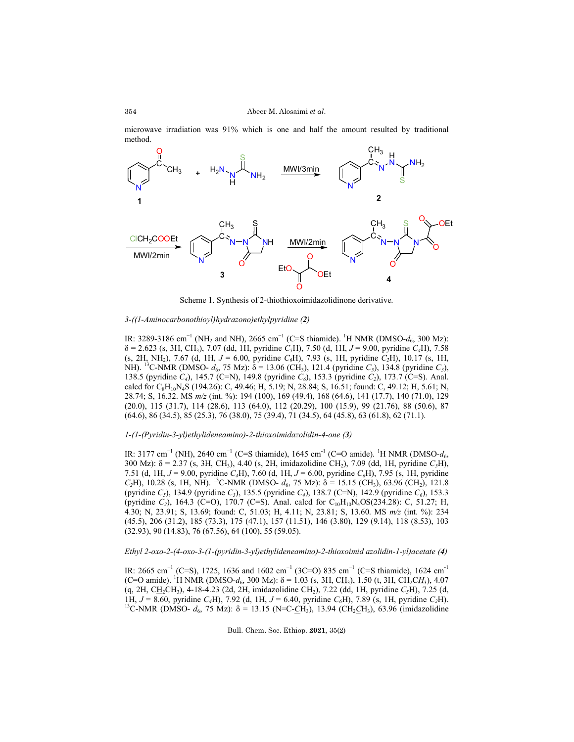microwave irradiation was 91% which is one and half the amount resulted by traditional method.



Scheme 1. Synthesis of 2-thiothioxoimidazolidinone derivative.

# *3-((1-Aminocarbonothioyl)hydrazono)ethylpyridine (2)*

IR: 3289-3186 cm<sup>-1</sup> (NH<sub>2</sub> and NH), 2665 cm<sup>-1</sup> (C=S thiamide). <sup>1</sup>H NMR (DMSO- $d_6$ , 300 Mz): δ = 2.623 (s, 3H, CH3), 7.07 (dd, 1H, pyridine *C5*H), 7.50 (d, 1H, *J* = 9.00, pyridine *C4*H), 7.58  $(s, 2H, NH<sub>2</sub>), 7.67$  (d, 1H,  $J = 6.00$ , pyridine  $C<sub>6</sub>H$ ), 7.93 (s, 1H, pyridine  $C<sub>2</sub>H$ ), 10.17 (s, 1H, NH). <sup>13</sup>C-NMR (DMSO-  $d_6$ , 75 Mz): δ = 13.06 (CH<sub>3</sub>), 121.4 (pyridine *C<sub>5</sub>*), 134.8 (pyridine *C<sub>3</sub>*), 138.5 (pyridine *C4*), 145.7 (C=N), 149.8 (pyridine *C6*), 153.3 (pyridine *C2*), 173.7 (C=S). Anal. calcd for C<sub>8</sub>H<sub>10</sub>N<sub>4</sub>S (194.26): C, 49.46; H, 5.19; N, 28.84; S, 16.51; found: C, 49.12; H, 5.61; N, 28.74; S, 16.32. MS *m/z* (int. %): 194 (100), 169 (49.4), 168 (64.6), 141 (17.7), 140 (71.0), 129 (20.0), 115 (31.7), 114 (28.6), 113 (64.0), 112 (20.29), 100 (15.9), 99 (21.76), 88 (50.6), 87 (64.6), 86 (34.5), 85 (25.3), 76 (38.0), 75 (39.4), 71 (34.5), 64 (45.8), 63 (61.8), 62 (71.1).

### *1-(1-(Pyridin-3-yl)ethylideneamino)-2-thioxoimidazolidin-4-one (3)*

IR: 3177 cm<sup>-1</sup> (NH), 2640 cm<sup>-1</sup> (C=S thiamide), 1645 cm<sup>-1</sup> (C=O amide). <sup>1</sup>H NMR (DMSO-*d*<sub>6</sub>, 300 Mz): δ = 2.37 (s, 3H, CH3), 4.40 (s, 2H, imidazolidine CH2), 7.09 (dd, 1H, pyridine *C5*H), 7.51 (d, 1H, *J* = 9.00, pyridine *C4*H), 7.60 (d, 1H, *J* = 6.00, pyridine *C6*H), 7.95 (s, 1H, pyridine *C*<sub>2</sub>H), 10.28 (s, 1H, NH). <sup>13</sup>C-NMR (DMSO- *d*<sub>6</sub>, 75 Mz): δ = 15.15 (CH<sub>3</sub>), 63.96 (CH<sub>2</sub>), 121.8 (pyridine *C5*), 134.9 (pyridine *C3*), 135.5 (pyridine *C4*), 138.7 (C=N), 142.9 (pyridine *C6*), 153.3 (pyridine *C<sub>2</sub>*), 164.3 (C=O), 170.7 (C=S). Anal. calcd for C<sub>10</sub>H<sub>10</sub>N<sub>4</sub>OS(234.28): C, 51.27; H, 4.30; N, 23.91; S, 13.69; found: C, 51.03; H, 4.11; N, 23.81; S, 13.60. MS *m/z* (int. %): 234 (45.5), 206 (31.2), 185 (73.3), 175 (47.1), 157 (11.51), 146 (3.80), 129 (9.14), 118 (8.53), 103 (32.93), 90 (14.83), 76 (67.56), 64 (100), 55 (59.05).

# *Ethyl 2-oxo-2-(4-oxo-3-(1-(pyridin-3-yl)ethylideneamino)-2-thioxoimid azolidin-1-yl)acetate (4)*

IR: 2665 cm<sup>-1</sup> (C=S), 1725, 1636 and 1602 cm<sup>-1</sup> (3C=O) 835 cm<sup>-1</sup> (C=S thiamide), 1624 cm<sup>-1</sup> (C=O amide). <sup>1</sup>H NMR (DMSO- $d_6$ , 300 Mz):  $\delta = 1.03$  (s, 3H, CH<sub>3</sub>), 1.50 (t, 3H, CH<sub>2</sub>CH<sub>3</sub>), 4.07 (q, 2H, CH<sub>2</sub>CH<sub>3</sub>), 4-18-4.23 (2d, 2H, imidazolidine CH<sub>2</sub>), 7.22 (dd, 1H, pyridine *C<sub>5</sub>H*), 7.25 (d, 1H, *J* = 8.60, pyridine *C<sub>4</sub>H*), 7.92 (d, 1H, *J* = 6.40, pyridine *C<sub>6</sub>H*), 7.89 (s, 1H, pyridine *C<sub>2</sub>H*). <sup>13</sup>C-NMR (DMSO-  $d_6$ , 75 Mz):  $\delta$  = 13.15 (N=C-CH<sub>3</sub>), 13.94 (CH<sub>2</sub>CH<sub>3</sub>), 63.96 (imidazolidine

Bull. Chem. Soc. Ethiop. **2021**, 35(2)

354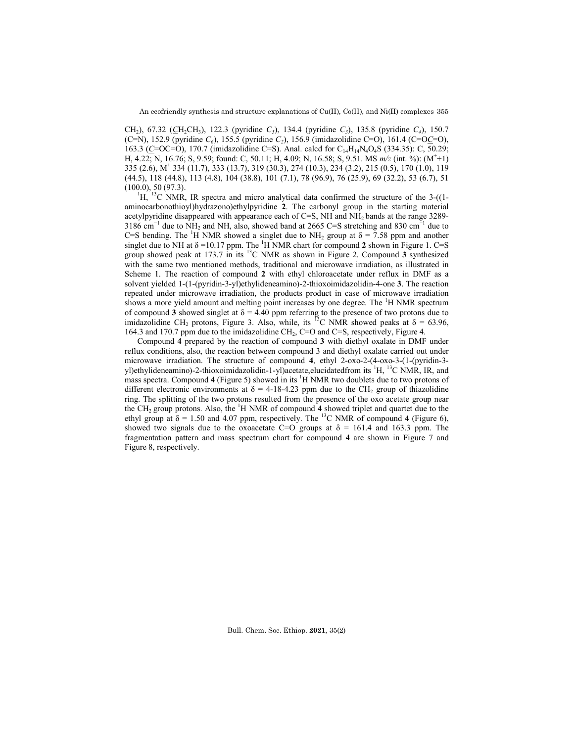CH2), 67.32 (*C*H2CH3), 122.3 (pyridine *C5*), 134.4 (pyridine *C3*), 135.8 (pyridine *C4*), 150.7 (C=N), 152.9 (pyridine *C6*), 155.5 (pyridine *C2*), 156.9 (imidazolidine C=O), 161.4 (C=O*C*=O), 163.3 (C=OC=O), 170.7 (imidazolidine C=S). Anal. calcd for C<sub>14</sub>H<sub>14</sub>N<sub>4</sub>O<sub>4</sub>S (334.35): C, 50.29; H, 4.22; N, 16.76; S, 9.59; found: C, 50.11; H, 4.09; N, 16.58; S, 9.51. MS *m/z* (int. %): (M+ +1) 335 (2.6), M+ 334 (11.7), 333 (13.7), 319 (30.3), 274 (10.3), 234 (3.2), 215 (0.5), 170 (1.0), 119 (44.5), 118 (44.8), 113 (4.8), 104 (38.8), 101 (7.1), 78 (96.9), 76 (25.9), 69 (32.2), 53 (6.7), 51  $(100.0), 50 (97.3).$ 

 ${}^{1}$ H,  ${}^{13}$ C NMR, IR spectra and micro analytical data confirmed the structure of the 3-((1aminocarbonothioyl)hydrazono)ethylpyridine **2**. The carbonyl group in the starting material acetylpyridine disappeared with appearance each of C=S, NH and  $NH<sub>2</sub>$  bands at the range 3289-3186 cm<sup>-1</sup> due to NH<sub>2</sub> and NH, also, showed band at 2665 C=S stretching and 830 cm<sup>-1</sup> due to C=S bending. The <sup>1</sup>H NMR showed a singlet due to NH<sub>2</sub> group at  $\delta = 7.58$  ppm and another singlet due to NH at  $\delta$  =10.17 ppm. The <sup>1</sup>H NMR chart for compound 2 shown in Figure 1. C=S group showed peak at 173.7 in its 13C NMR as shown in Figure 2. Compound **3** synthesized with the same two mentioned methods, traditional and microwave irradiation, as illustrated in Scheme 1. The reaction of compound **2** with ethyl chloroacetate under reflux in DMF as a solvent yielded 1-(1-(pyridin-3-yl)ethylideneamino)-2-thioxoimidazolidin-4-one **3**. The reaction repeated under microwave irradiation, the products product in case of microwave irradiation shows a more yield amount and melting point increases by one degree. The <sup>1</sup>H NMR spectrum of compound **3** showed singlet at  $\delta = 4.40$  ppm referring to the presence of two protons due to imidazolidine CH<sub>2</sub> protons, Figure 3. Also, while, its <sup>13</sup>C NMR showed peaks at  $\delta = 63.96$ , 164.3 and 170.7 ppm due to the imidazolidine CH<sub>2</sub>, C=O and C=S, respectively, Figure 4.

Compound **4** prepared by the reaction of compound **3** with diethyl oxalate in DMF under reflux conditions, also, the reaction between compound 3 and diethyl oxalate carried out under microwave irradiation. The structure of compound **4**, ethyl 2-oxo-2-(4-oxo-3-(1-(pyridin-3 yl)ethylideneamino)-2-thioxoimidazolidin-1-yl)acetate,elucidatedfrom its <sup>1</sup>H, <sup>13</sup>C NMR, IR, and mass spectra. Compound 4 (Figure 5) showed in its <sup>1</sup>H NMR two doublets due to two protons of different electronic environments at  $\delta = 4$ -18-4.23 ppm due to the CH<sub>2</sub> group of thiazolidine ring. The splitting of the two protons resulted from the presence of the oxo acetate group near the CH<sub>2</sub> group protons. Also, the <sup>1</sup>H NMR of compound 4 showed triplet and quartet due to the ethyl group at  $\delta = 1.50$  and 4.07 ppm, respectively. The <sup>13</sup>C NMR of compound 4 (Figure 6), showed two signals due to the oxoacetate C=O groups at  $\delta$  = 161.4 and 163.3 ppm. The fragmentation pattern and mass spectrum chart for compound **4** are shown in Figure 7 and Figure 8, respectively.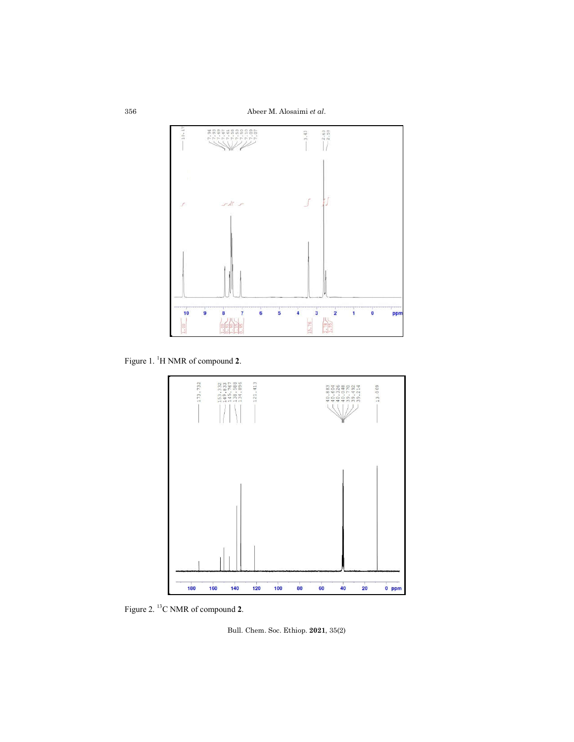Abeer M. Alosaimi *et al*.



Figure 1. <sup>1</sup> H NMR of compound **2**.



Figure 2. 13C NMR of compound **2**.

Bull. Chem. Soc. Ethiop. **2021**, 35(2)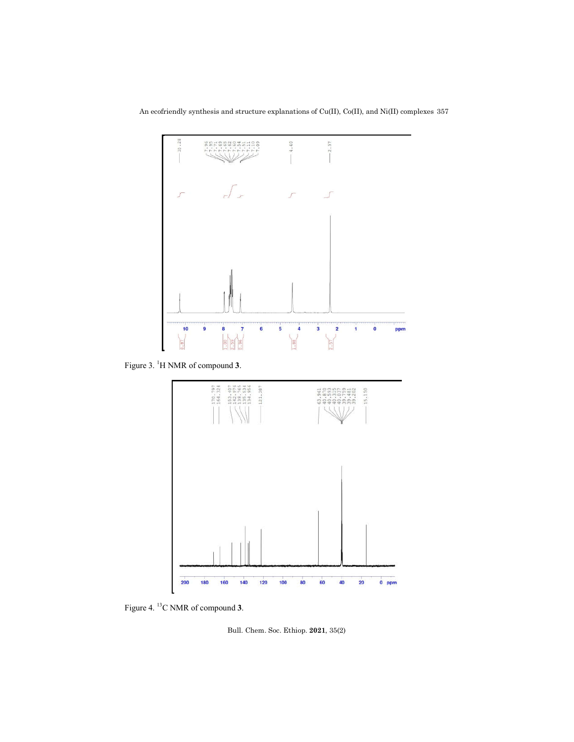An ecofriendly synthesis and structure explanations of Cu(II), Co(II), and Ni(II) complexes 357



Figure 3. <sup>1</sup> H NMR of compound **3**.



Figure 4. 13C NMR of compound **3**.

Bull. Chem. Soc. Ethiop. **2021**, 35(2)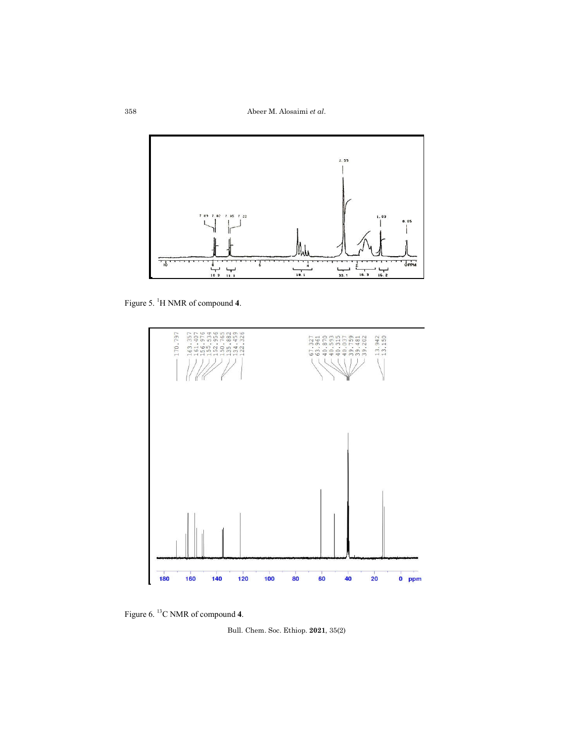

Figure 5. <sup>1</sup> H NMR of compound **4**.





Bull. Chem. Soc. Ethiop. **2021**, 35(2)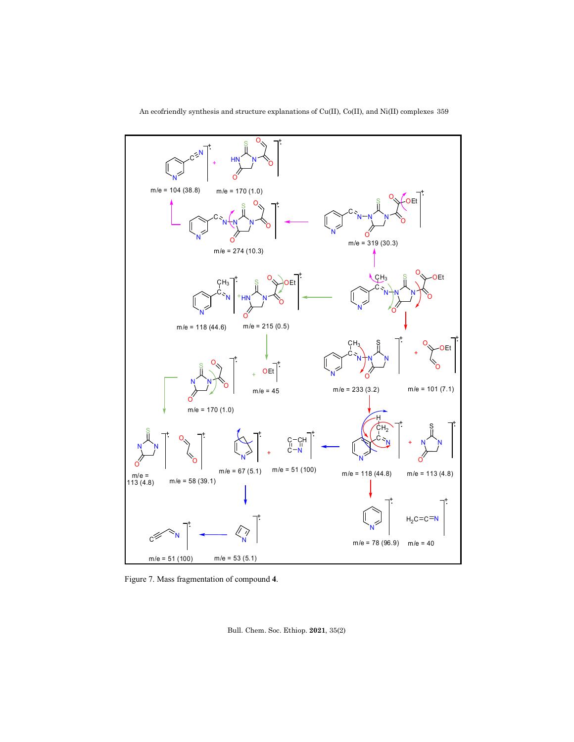

An ecofriendly synthesis and structure explanations of Cu(II), Co(II), and Ni(II) complexes 359

Figure 7. Mass fragmentation of compound **4**.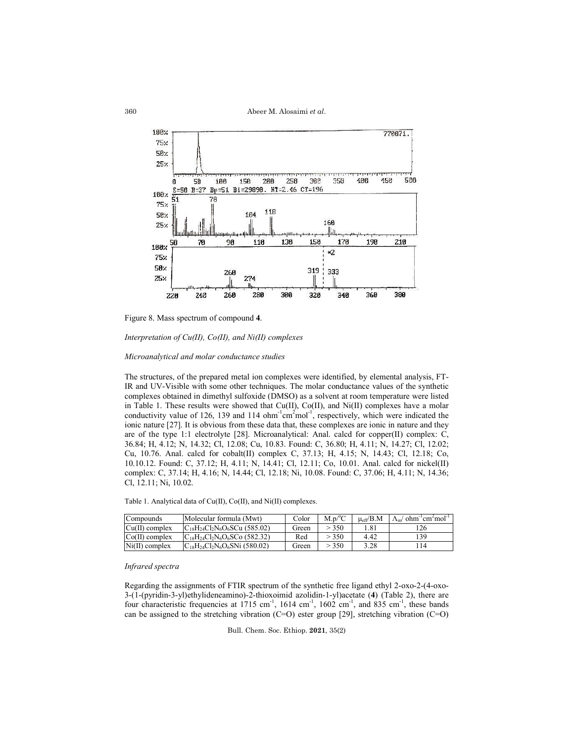

Figure 8. Mass spectrum of compound **4**.

*Interpretation of Cu(II), Co(II), and Ni(II) complexes* 

*Microanalytical and molar conductance studies*

The structures, of the prepared metal ion complexes were identified, by elemental analysis, FT-IR and UV-Visible with some other techniques. The molar conductance values of the synthetic complexes obtained in dimethyl sulfoxide (DMSO) as a solvent at room temperature were listed in Table 1. These results were showed that Cu(II), Co(II), and Ni(II) complexes have a molar conductivity value of 126, 139 and 114 ohm<sup>-1</sup>cm<sup>2</sup>mol<sup>-1</sup>, respectively, which were indicated the ionic nature [27]. It is obvious from these data that, these complexes are ionic in nature and they are of the type 1:1 electrolyte [28]. Microanalytical: Anal. calcd for copper(II) complex: C, 36.84; H, 4.12; N, 14.32; Cl, 12.08; Cu, 10.83. Found: C, 36.80; H, 4.11; N, 14.27; Cl, 12.02; Cu, 10.76. Anal. calcd for cobalt(II) complex C, 37.13; H, 4.15; N, 14.43; Cl, 12.18; Co, 10.10.12. Found: C, 37.12; H, 4.11; N, 14.41; Cl, 12.11; Co, 10.01. Anal. calcd for nickel(II) complex: C, 37.14; H, 4.16; N, 14.44; Cl, 12.18; Ni, 10.08. Found: C, 37.06; H, 4.11; N, 14.36; Cl, 12.11; Ni, 10.02.

Table 1. Analytical data of Cu(II), Co(II), and Ni(II) complexes.

| Compounds        | Molecular formula (Mwt)               | Color | $M.p^oC$ | $\mu_{eff}/B.M$      | $\Lambda_{m}$ ohm <sup>-1</sup> cm <sup>2</sup> mol <sup>-1</sup> |
|------------------|---------------------------------------|-------|----------|----------------------|-------------------------------------------------------------------|
| $Cu(II)$ complex | $C_{18}H_{24}Cl_2N_6O_6SCu(585.02)$   | Green | > 350    | $^{\circ}.8^{\circ}$ | 126                                                               |
| $Co(II)$ complex | $C_{18}H_{24}Cl_2N_6O_6SC_9$ (582.32) | Red   | > 350    | 4.42                 | 139                                                               |
| $Ni(II)$ complex | $C_{18}H_{24}Cl_2N_6O_6SNi(580.02)$   | Green | > 350    | 3.28                 | 14                                                                |

# *Infrared spectra*

Regarding the assignments of FTIR spectrum of the synthetic free ligand ethyl 2-oxo-2-(4-oxo-3-(1-(pyridin-3-yl)ethylideneamino)-2-thioxoimid azolidin-1-yl)acetate (**4**) (Table 2), there are four characteristic frequencies at 1715 cm<sup>-1</sup>, 1614 cm<sup>-1</sup>, 1602 cm<sup>-1</sup>, and 835 cm<sup>-1</sup>, these bands can be assigned to the stretching vibration (C=O) ester group [29], stretching vibration (C=O)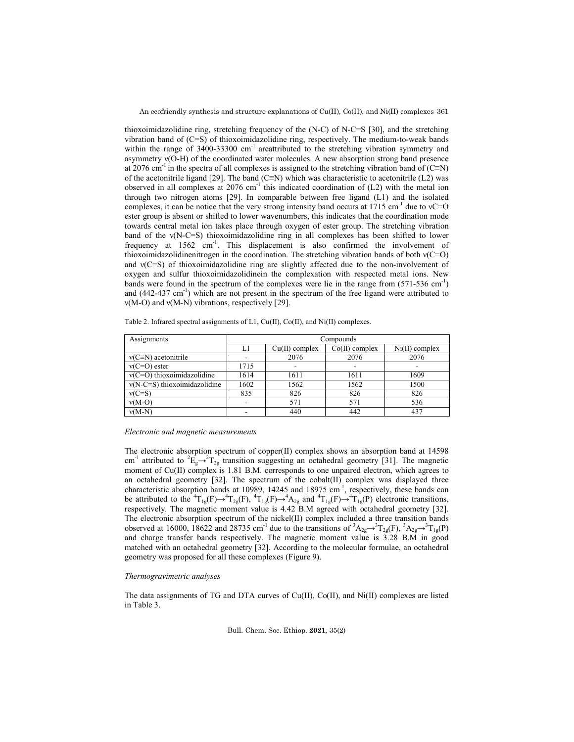An ecofriendly synthesis and structure explanations of Cu(II), Co(II), and Ni(II) complexes 361

thioxoimidazolidine ring, stretching frequency of the (N-C) of N-C=S [30], and the stretching vibration band of (C=S) of thioxoimidazolidine ring, respectively. The medium-to-weak bands within the range of  $3400-33300$  cm<sup>-1</sup> areattributed to the stretching vibration symmetry and asymmetry ν(O-H) of the coordinated water molecules. A new absorption strong band presence at 2076 cm<sup>-1</sup> in the spectra of all complexes is assigned to the stretching vibration band of (C≡N) of the acetonitrile ligand [29]. The band (C≡N) which was characteristic to acetonitrile (L2) was observed in all complexes at  $2076 \text{ cm}^{-1}$  this indicated coordination of (L2) with the metal ion through two nitrogen atoms [29]. In comparable between free ligand (L1) and the isolated complexes, it can be notice that the very strong intensity band occurs at 1715 cm<sup>-1</sup> due to  $vC=O$ ester group is absent or shifted to lower wavenumbers, this indicates that the coordination mode towards central metal ion takes place through oxygen of ester group. The stretching vibration band of the ν(N-C=S) thioxoimidazolidine ring in all complexes has been shifted to lower frequency at 1562 cm<sup>-1</sup>. This displacement is also confirmed the involvement of thioxoimidazolidinenitrogen in the coordination. The stretching vibration bands of both ν(C=O) and ν(C=S) of thioxoimidazolidine ring are slightly affected due to the non-involvement of oxygen and sulfur thioxoimidazolidinein the complexation with respected metal ions. New bands were found in the spectrum of the complexes were lie in the range from (571-536 cm<sup>-1</sup>) and (442-437 cm<sup>-1</sup>) which are not present in the spectrum of the free ligand were attributed to ν(M-O) and ν(M-N) vibrations, respectively [29].

| Assignments                    | Compounds |                  |                  |                  |  |  |  |
|--------------------------------|-----------|------------------|------------------|------------------|--|--|--|
|                                | Ll        | $Cu(II)$ complex | $Co(II)$ complex | $Ni(II)$ complex |  |  |  |
| $v(C=N)$ acetonitrile          |           | 2076             | 2076             | 2076             |  |  |  |
| $v(C=O)$ ester                 | 1715      | -                |                  |                  |  |  |  |
| $v(C=O)$ thioxoimidazolidine   | 1614      | 1611             | 1611             | 1609             |  |  |  |
| $v(N-C=S)$ thioxoimidazolidine | 1602      | 1562             | 1562             | 1500             |  |  |  |
| $v(C=S)$                       | 835       | 826              | 826              | 826              |  |  |  |
| $v(M-O)$                       |           | 571              | 571              | 536              |  |  |  |
| $v(M-N)$                       |           | 440              | 442              | 437              |  |  |  |

Table 2. Infrared spectral assignments of L1, Cu(II), Co(II), and Ni(II) complexes.

#### *Electronic and magnetic measurements*

The electronic absorption spectrum of copper(II) complex shows an absorption band at 14598 cm<sup>-1</sup> attributed to  ${}^2E_g \rightarrow {}^2T_{2g}$  transition suggesting an octahedral geometry [31]. The magnetic moment of Cu(II) complex is 1.81 B.M. corresponds to one unpaired electron, which agrees to an octahedral geometry [32]. The spectrum of the cobalt(II) complex was displayed three characteristic absorption bands at 10989, 14245 and 18975 cm<sup>-1</sup>, respectively, these bands can be attributed to the  ${}^{4}T_{1g}(F) \rightarrow {}^{4}T_{2g}(F)$ ,  ${}^{4}T_{1g}(F) \rightarrow {}^{4}A_{2g}$  and  ${}^{4}T_{1g}(F) \rightarrow {}^{4}T_{1g}(P)$  electronic transitions, respectively. The magnetic moment value is 4.42 B.M agreed with octahedral geometry [32]. The electronic absorption spectrum of the nickel(ІІ) complex included a three transition bands observed at 16000, 18622 and 28735 cm<sup>-1</sup> due to the transitions of  ${}^3A_{2g} \rightarrow {}^3T_{2g}(F)$ ,  ${}^3A_{2g} \rightarrow {}^3T_{1g}(P)$ and charge transfer bands respectively. The magnetic moment value is 3.28 B.M in good matched with an octahedral geometry [32]. According to the molecular formulae, an octahedral geometry was proposed for all these complexes (Figure 9).

### *Thermogravimetric analyses*

The data assignments of TG and DTA curves of  $Cu(II)$ ,  $Co(II)$ , and  $Ni(II)$  complexes are listed in Table 3.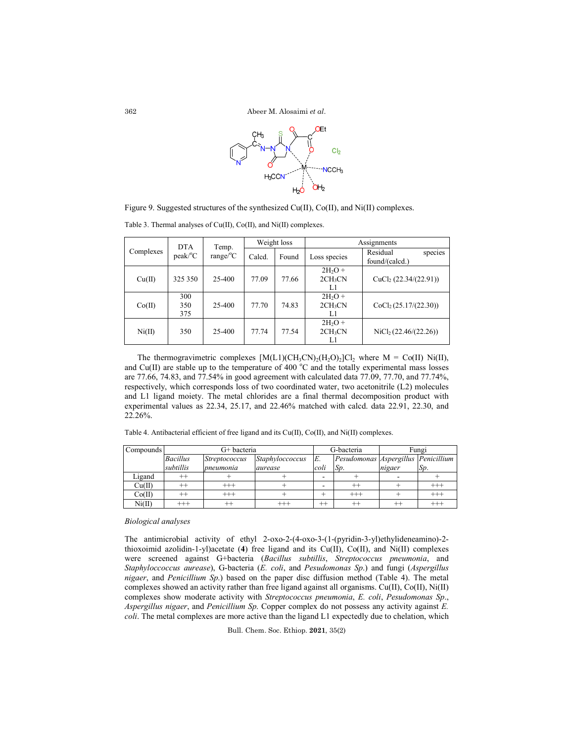

Figure 9. Suggested structures of the synthesized Cu(II), Co(II), and Ni(II) complexes.

| Complexes | <b>DTA</b><br>$peak$ <sup>o</sup> $C$ | Temp.<br>$range$ <sup>o</sup> $C$ | Weight loss |       | Assignments                           |                                       |  |  |
|-----------|---------------------------------------|-----------------------------------|-------------|-------|---------------------------------------|---------------------------------------|--|--|
|           |                                       |                                   | Calcd.      | Found | Loss species                          | Residual<br>species<br>found/(calcd.) |  |  |
| Cu(II)    | 325 350                               | 25-400                            | 77.09       | 77.66 | $2H2O +$<br>2CH <sub>3</sub> CN<br>L1 | CuCl <sub>2</sub> $(22.34/(22.91))$   |  |  |
| Co(II)    | 300<br>350<br>375                     | 25-400                            | 77.70       | 74.83 | $2H2O +$<br>2CH <sub>3</sub> CN<br>L1 | CoCl <sub>2</sub> (25.17/(22.30))     |  |  |
| Ni(II)    | 350                                   | 25-400                            | 77.74       | 77.54 | $2H2O +$<br>2CH <sub>3</sub> CN<br>L1 | NiCl <sub>2</sub> (22.46/(22.26))     |  |  |

Table 3. Thermal analyses of Cu(II), Co(II), and Ni(II) complexes.

The thermogravimetric complexes  $[M(L1)(CH_3CN)_2(H_2O)_2]Cl_2$  where  $M = Co(II)$  Ni(II), and Cu(II) are stable up to the temperature of 400  $^{\circ}$ C and the totally experimental mass losses are 77.66, 74.83, and 77.54% in good agreement with calculated data 77.09, 77.70, and 77.74%, respectively, which corresponds loss of two coordinated water, two acetonitrile (L2) molecules and L1 ligand moiety. The metal chlorides are a final thermal decomposition product with experimental values as 22.34, 25.17, and 22.46% matched with calcd. data 22.91, 22.30, and 22.26%.

Table 4. Antibacterial efficient of free ligand and its Cu(II), Co(II), and Ni(II) complexes.

| Compounds                  | G+ bacteria     |                      |                 |         | G-bacteria                          | Fungi  |          |
|----------------------------|-----------------|----------------------|-----------------|---------|-------------------------------------|--------|----------|
|                            | <b>Bacillus</b> | <i>Streptococcus</i> | Staphyloccoccus | E.      | Pesudomonas Aspergillus Penicillium |        |          |
|                            | subtillis       | pneumonia            | aurease         | coli    | Sp.                                 | nigaer | Sp.      |
| Ligand                     |                 |                      |                 |         |                                     |        |          |
| Cu(II)                     |                 | $^{+++}$             |                 |         | $^{++}$                             |        | $^{+++}$ |
| Co(II)                     |                 | $^{+++}$             |                 |         | $^{+++}$                            |        | $^{+++}$ |
| $\mathrm{Ni}(\mathrm{II})$ | $^{+++}$        |                      | $^{+++}$        | $^{++}$ | $^{++}$                             |        | $^{+++}$ |

#### *Biological analyses*

The antimicrobial activity of ethyl 2-oxo-2-(4-oxo-3-(1-(pyridin-3-yl)ethylideneamino)-2 thioxoimid azolidin-1-yl)acetate (**4**) free ligand and its Cu(II), Co(II), and Ni(II) complexes were screened against G+bacteria (*Bacillus subtillis*, *Streptococcus pneumonia*, and *Staphyloccoccus aurease*), G-bacteria (*E. coli*, and *Pesudomonas Sp*.) and fungi (*Aspergillus nigaer*, and *Penicillium Sp*.) based on the paper disc diffusion method (Table 4). The metal complexes showed an activity rather than free ligand against all organisms. Cu(II), Co(II), Ni(II) complexes show moderate activity with *Streptococcus pneumonia*, *E. coli*, *Pesudomonas Sp*., *Aspergillus nigaer*, and *Penicillium Sp*. Copper complex do not possess any activity against *E. coli*. The metal complexes are more active than the ligand L1 expectedly due to chelation, which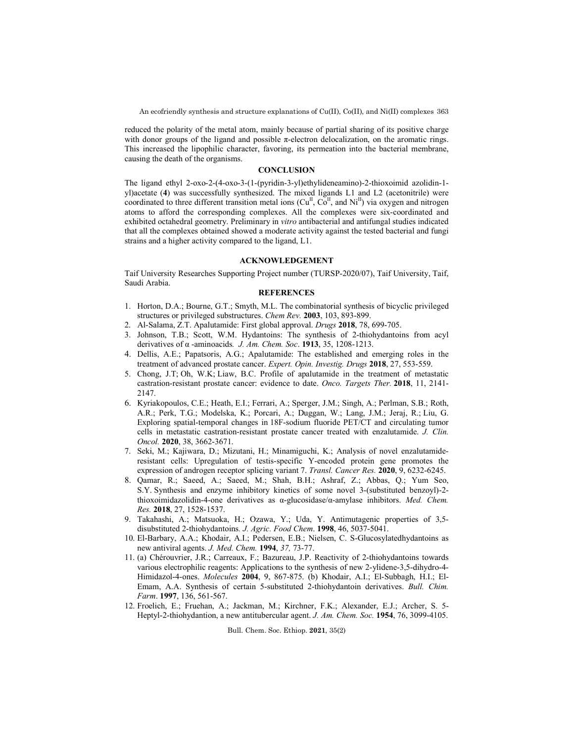An ecofriendly synthesis and structure explanations of Cu(II), Co(II), and Ni(II) complexes 363

reduced the polarity of the metal atom, mainly because of partial sharing of its positive charge with donor groups of the ligand and possible π-electron delocalization, on the aromatic rings. This increased the lipophilic character, favoring, its permeation into the bacterial membrane, causing the death of the organisms.

#### **CONCLUSION**

The ligand ethyl 2-oxo-2-(4-oxo-3-(1-(pyridin-3-yl)ethylideneamino)-2-thioxoimid azolidin-1 yl)acetate (**4**) was successfully synthesized. The mixed ligands L1 and L2 (acetonitrile) were coordinated to three different transition metal ions  $(Cu^{\text{II}}, Co^{\text{II}})$ , and  $Ni^{\text{II}}$ ) via oxygen and nitrogen atoms to afford the corresponding complexes. All the complexes were six-coordinated and exhibited octahedral geometry. Preliminary in *vitro* antibacterial and antifungal studies indicated that all the complexes obtained showed a moderate activity against the tested bacterial and fungi strains and a higher activity compared to the ligand, L1.

## **ACKNOWLEDGEMENT**

Taif University Researches Supporting Project number (TURSP-2020/07), Taif University, Taif, Saudi Arabia.

#### **REFERENCES**

- 1. Horton, D.A.; Bourne, G.T.; Smyth, M.L. The combinatorial synthesis of bicyclic privileged structures or privileged substructures. *Chem Rev.* **2003**, 103, 893-899.
- 2. Al-Salama, Z.T. Apalutamide: First global approval. *Drugs* **2018**, 78, 699-705.
- 3. Johnson, T.B.; Scott, W.M. Hydantoins: The synthesis of 2-thiohydantoins from acyl derivatives of α -aminoacids*. J. Am. Chem. Soc*. **1913**, 35, 1208-1213.
- 4. Dellis, A.E.; Papatsoris, A.G.; Apalutamide: The established and emerging roles in the treatment of advanced prostate cancer. *Expert. Opin. Investig. Drugs* **2018**, 27, 553-559.
- 5. Chong, J.T; Oh, W.K; Liaw, B.C. Profile of apalutamide in the treatment of metastatic castration-resistant prostate cancer: evidence to date. *Onco. Targets Ther.* **2018**, 11, 2141- 2147.
- 6. Kyriakopoulos, C.E.; Heath, E.I.; Ferrari, A.; Sperger, J.M.; Singh, A.; Perlman, S.B.; Roth, A.R.; Perk, T.G.; Modelska, K.; Porcari, A.; Duggan, W.; Lang, J.M.; Jeraj, R.; Liu, G. Exploring spatial-temporal changes in 18F-sodium fluoride PET/CT and circulating tumor cells in metastatic castration-resistant prostate cancer treated with enzalutamide. *J. Clin. Oncol.* **2020**, 38, 3662-3671.
- 7. Seki, M.; Kajiwara, D.; Mizutani, H.; Minamiguchi, K.; Analysis of novel enzalutamideresistant cells: Upregulation of testis-specific Y-encoded protein gene promotes the expression of androgen receptor splicing variant 7. *Transl. Cancer Res.* **2020**, 9, 6232-6245.
- 8. Qamar, R.; Saeed, A.; Saeed, M.; Shah, B.H.; Ashraf, Z.; Abbas, Q.; Yum Seo, S.Y. Synthesis and enzyme inhibitory kinetics of some novel 3-(substituted benzoyl)-2 thioxoimidazolidin-4-one derivatives as α-glucosidase/α-amylase inhibitors. *Med. Chem. Res.* **2018**, 27, 1528-1537.
- 9. Takahashi, A.; Matsuoka, H.; Ozawa, Y.; Uda, Y. Antimutagenic properties of 3,5 disubstituted 2-thiohydantoins*. J. Agric. Food Chem*. **1998**, 46, 5037-5041.
- 10. El-Barbary, A.A.; Khodair, A.I.; Pedersen, E.B.; Nielsen, C. S-Glucosylatedhydantoins as new antiviral agents. *J. Med. Chem.* **1994**, *37,* 73-77.
- 11. (a) Chérouvrier, J.R.; Carreaux, F.; Bazureau, J.P. Reactivity of 2-thiohydantoins towards various electrophilic reagents: Applications to the synthesis of new 2-ylidene-3,5-dihydro-4- Himidazol-4-ones. *Molecules* **2004**, 9, 867-875. (b) Khodair, A.I.; El-Subbagh, H.I.; El-Emam, A.A. Synthesis of certain 5-substituted 2-thiohydantoin derivatives. *Bull. Chim. Farm*. **1997**, 136, 561-567.
- 12. Froelich, E.; Fruehan, A.; Jackman, M.; Kirchner, F.K.; Alexander, E.J.; Archer, S. 5- Heptyl-2-thiohydantion, a new antitubercular agent. *J. Am. Chem. Soc.* **1954**, 76, 3099-4105.